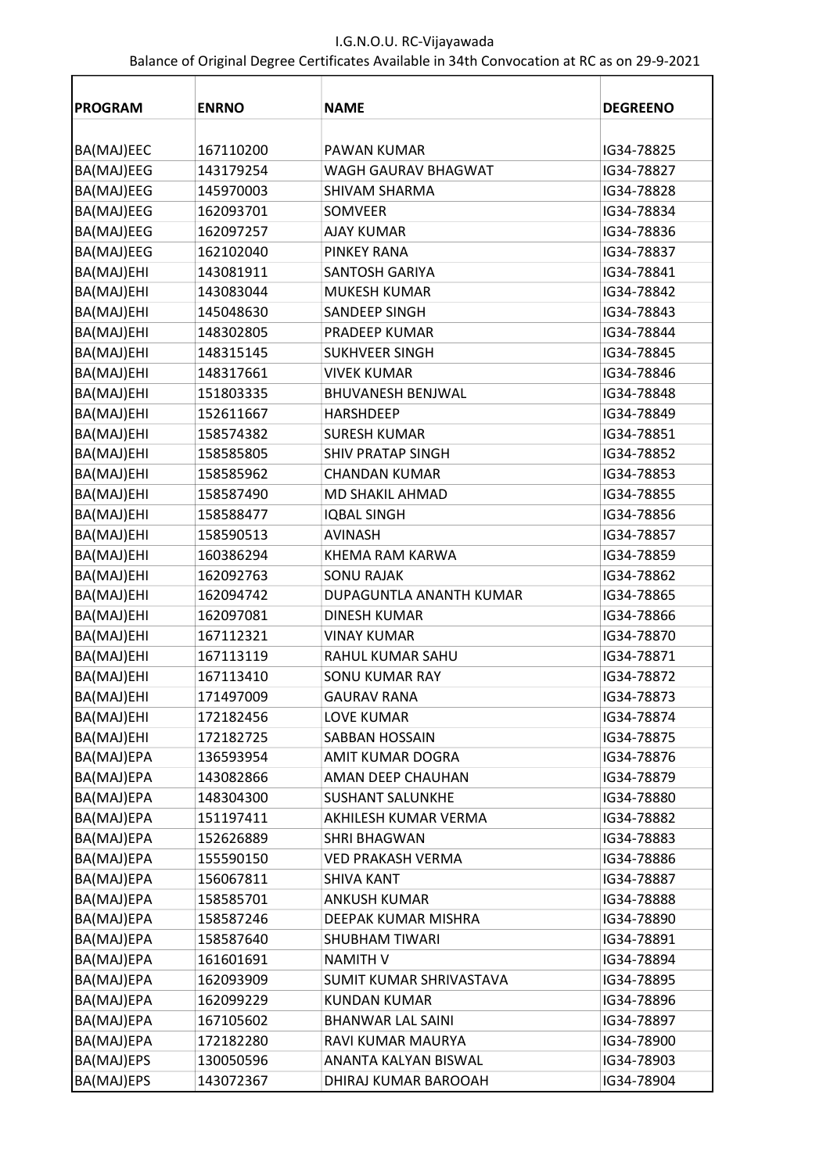| <b>PROGRAM</b> | <b>ENRNO</b> | <b>NAME</b>              | <b>DEGREENO</b> |
|----------------|--------------|--------------------------|-----------------|
|                |              |                          |                 |
| BA(MAJ)EEC     | 167110200    | <b>PAWAN KUMAR</b>       | IG34-78825      |
| BA(MAJ)EEG     | 143179254    | WAGH GAURAV BHAGWAT      | IG34-78827      |
| BA(MAJ)EEG     | 145970003    | <b>SHIVAM SHARMA</b>     | IG34-78828      |
| BA(MAJ)EEG     | 162093701    | SOMVEER                  | IG34-78834      |
| BA(MAJ)EEG     | 162097257    | <b>AJAY KUMAR</b>        | IG34-78836      |
| BA(MAJ)EEG     | 162102040    | <b>PINKEY RANA</b>       | IG34-78837      |
| BA(MAJ)EHI     | 143081911    | <b>SANTOSH GARIYA</b>    | IG34-78841      |
| BA(MAJ)EHI     | 143083044    | <b>MUKESH KUMAR</b>      | IG34-78842      |
| BA(MAJ)EHI     | 145048630    | SANDEEP SINGH            | IG34-78843      |
| BA(MAJ)EHI     | 148302805    | PRADEEP KUMAR            | IG34-78844      |
| BA(MAJ)EHI     | 148315145    | <b>SUKHVEER SINGH</b>    | IG34-78845      |
| BA(MAJ)EHI     | 148317661    | <b>VIVEK KUMAR</b>       | IG34-78846      |
| BA(MAJ)EHI     | 151803335    | <b>BHUVANESH BENJWAL</b> | IG34-78848      |
| BA(MAJ)EHI     | 152611667    | <b>HARSHDEEP</b>         | IG34-78849      |
| BA(MAJ)EHI     | 158574382    | <b>SURESH KUMAR</b>      | IG34-78851      |
| BA(MAJ)EHI     | 158585805    | <b>SHIV PRATAP SINGH</b> | IG34-78852      |
| BA(MAJ)EHI     | 158585962    | <b>CHANDAN KUMAR</b>     | IG34-78853      |
| BA(MAJ)EHI     | 158587490    | <b>MD SHAKIL AHMAD</b>   | IG34-78855      |
| BA(MAJ)EHI     | 158588477    | <b>IQBAL SINGH</b>       | IG34-78856      |
| BA(MAJ)EHI     | 158590513    | <b>AVINASH</b>           | IG34-78857      |
| BA(MAJ)EHI     | 160386294    | KHEMA RAM KARWA          | IG34-78859      |
| BA(MAJ)EHI     | 162092763    | <b>SONU RAJAK</b>        | IG34-78862      |
| BA(MAJ)EHI     | 162094742    | DUPAGUNTLA ANANTH KUMAR  | IG34-78865      |
| BA(MAJ)EHI     | 162097081    | <b>DINESH KUMAR</b>      | IG34-78866      |
| BA(MAJ)EHI     | 167112321    | <b>VINAY KUMAR</b>       | IG34-78870      |
| BA(MAJ)EHI     | 167113119    | RAHUL KUMAR SAHU         | IG34-78871      |
| BA(MAJ)EHI     | 167113410    | <b>SONU KUMAR RAY</b>    | IG34-78872      |
| BA(MAJ)EHI     | 171497009    | <b>GAURAV RANA</b>       | IG34-78873      |
| BA(MAJ)EHI     | 172182456    | <b>LOVE KUMAR</b>        | IG34-78874      |
| BA(MAJ)EHI     | 172182725    | SABBAN HOSSAIN           | IG34-78875      |
| BA(MAJ)EPA     | 136593954    | AMIT KUMAR DOGRA         | IG34-78876      |
| BA(MAJ)EPA     | 143082866    | AMAN DEEP CHAUHAN        | IG34-78879      |
| BA(MAJ)EPA     | 148304300    | <b>SUSHANT SALUNKHE</b>  | IG34-78880      |
| BA(MAJ)EPA     | 151197411    | AKHILESH KUMAR VERMA     | IG34-78882      |
| BA(MAJ)EPA     | 152626889    | <b>SHRI BHAGWAN</b>      | IG34-78883      |
| BA(MAJ)EPA     | 155590150    | <b>VED PRAKASH VERMA</b> | IG34-78886      |
| BA(MAJ)EPA     | 156067811    | <b>SHIVA KANT</b>        | IG34-78887      |
| BA(MAJ)EPA     | 158585701    | <b>ANKUSH KUMAR</b>      | IG34-78888      |
| BA(MAJ)EPA     | 158587246    | DEEPAK KUMAR MISHRA      | IG34-78890      |
| BA(MAJ)EPA     | 158587640    | <b>SHUBHAM TIWARI</b>    | IG34-78891      |
| BA(MAJ)EPA     | 161601691    | <b>NAMITH V</b>          | IG34-78894      |
| BA(MAJ)EPA     | 162093909    | SUMIT KUMAR SHRIVASTAVA  | IG34-78895      |
| BA(MAJ)EPA     | 162099229    | <b>KUNDAN KUMAR</b>      | IG34-78896      |
| BA(MAJ)EPA     | 167105602    | <b>BHANWAR LAL SAINI</b> | IG34-78897      |
| BA(MAJ)EPA     | 172182280    | RAVI KUMAR MAURYA        | IG34-78900      |
| BA(MAJ)EPS     | 130050596    | ANANTA KALYAN BISWAL     | IG34-78903      |
| BA(MAJ)EPS     | 143072367    | DHIRAJ KUMAR BAROOAH     | IG34-78904      |
|                |              |                          |                 |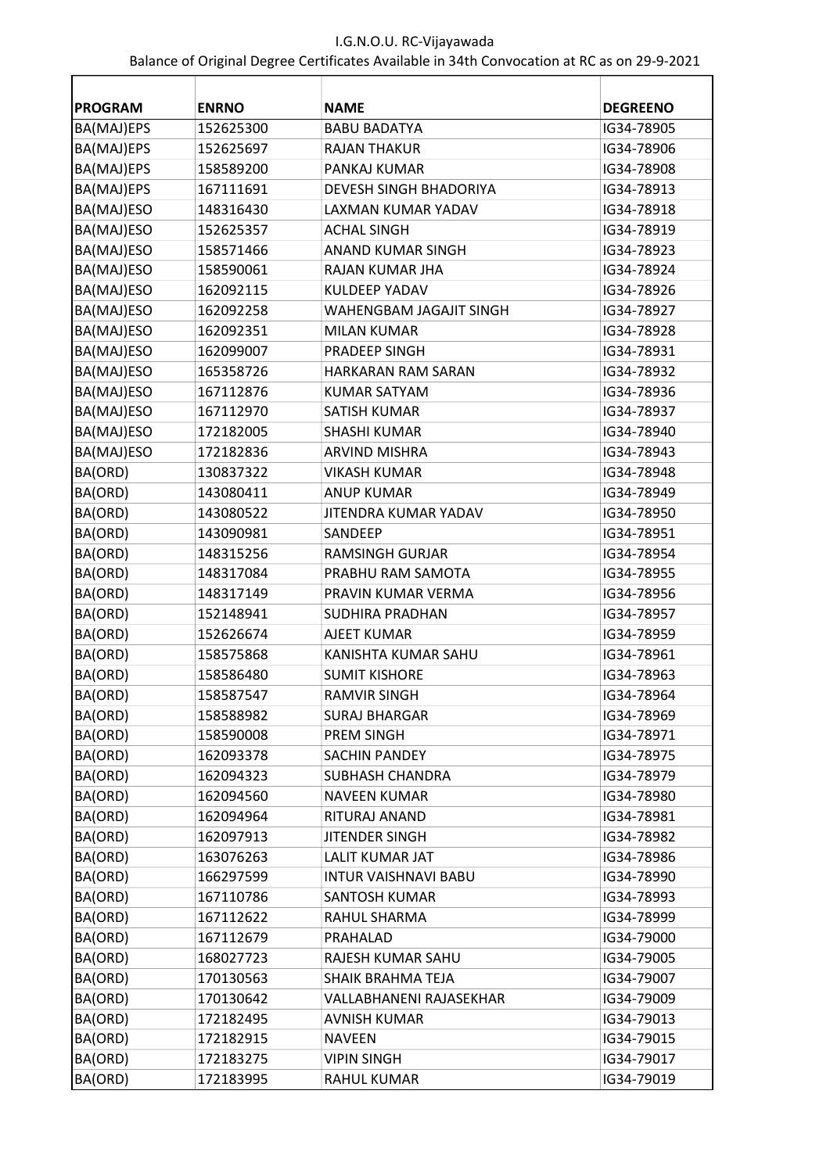| <b>PROGRAM</b> | <b>ENRNO</b> | <b>NAME</b>                 | <b>DEGREENO</b> |
|----------------|--------------|-----------------------------|-----------------|
| BA(MAJ)EPS     | 152625300    | <b>BABU BADATYA</b>         | IG34-78905      |
| BA(MAJ)EPS     | 152625697    | <b>RAJAN THAKUR</b>         | IG34-78906      |
| BA(MAJ)EPS     | 158589200    | PANKAJ KUMAR                | IG34-78908      |
| BA(MAJ)EPS     | 167111691    | DEVESH SINGH BHADORIYA      | IG34-78913      |
| BA(MAJ)ESO     | 148316430    | LAXMAN KUMAR YADAV          | IG34-78918      |
| BA(MAJ)ESO     | 152625357    | <b>ACHAL SINGH</b>          | IG34-78919      |
| BA(MAJ)ESO     | 158571466    | <b>ANAND KUMAR SINGH</b>    | IG34-78923      |
| BA(MAJ)ESO     | 158590061    | RAJAN KUMAR JHA             | IG34-78924      |
| BA(MAJ)ESO     | 162092115    | KULDEEP YADAV               | IG34-78926      |
| BA(MAJ)ESO     | 162092258    | WAHENGBAM JAGAJIT SINGH     | IG34-78927      |
| BA(MAJ)ESO     | 162092351    | <b>MILAN KUMAR</b>          | IG34-78928      |
| BA(MAJ)ESO     | 162099007    | PRADEEP SINGH               | IG34-78931      |
| BA(MAJ)ESO     | 165358726    | <b>HARKARAN RAM SARAN</b>   | IG34-78932      |
| BA(MAJ)ESO     | 167112876    | <b>KUMAR SATYAM</b>         | IG34-78936      |
| BA(MAJ)ESO     | 167112970    | <b>SATISH KUMAR</b>         | IG34-78937      |
| BA(MAJ)ESO     | 172182005    | <b>SHASHI KUMAR</b>         | IG34-78940      |
| BA(MAJ)ESO     | 172182836    | <b>ARVIND MISHRA</b>        | IG34-78943      |
| BA(ORD)        | 130837322    | <b>VIKASH KUMAR</b>         | IG34-78948      |
| BA(ORD)        | 143080411    | <b>ANUP KUMAR</b>           | IG34-78949      |
| BA(ORD)        | 143080522    | JITENDRA KUMAR YADAV        | IG34-78950      |
| BA(ORD)        | 143090981    | SANDEEP                     | IG34-78951      |
| BA(ORD)        | 148315256    | <b>RAMSINGH GURJAR</b>      | IG34-78954      |
| BA(ORD)        | 148317084    | PRABHU RAM SAMOTA           | IG34-78955      |
| BA(ORD)        | 148317149    | PRAVIN KUMAR VERMA          | IG34-78956      |
| BA(ORD)        | 152148941    | SUDHIRA PRADHAN             | IG34-78957      |
| BA(ORD)        | 152626674    | <b>AJEET KUMAR</b>          | IG34-78959      |
| BA(ORD)        | 158575868    | KANISHTA KUMAR SAHU         | IG34-78961      |
| BA(ORD)        | 158586480    | <b>SUMIT KISHORE</b>        | IG34-78963      |
| BA(ORD)        | 158587547    | <b>RAMVIR SINGH</b>         | IG34-78964      |
| BA(ORD)        | 158588982    | <b>SURAJ BHARGAR</b>        | IG34-78969      |
| BA(ORD)        | 158590008    | PREM SINGH                  | IG34-78971      |
| BA(ORD)        | 162093378    | <b>SACHIN PANDEY</b>        | IG34-78975      |
| BA(ORD)        | 162094323    | <b>SUBHASH CHANDRA</b>      | IG34-78979      |
| BA(ORD)        | 162094560    | <b>NAVEEN KUMAR</b>         | IG34-78980      |
| BA(ORD)        | 162094964    | RITURAJ ANAND               | IG34-78981      |
| BA(ORD)        | 162097913    | <b>JITENDER SINGH</b>       | IG34-78982      |
| BA(ORD)        | 163076263    | LALIT KUMAR JAT             | IG34-78986      |
| BA(ORD)        | 166297599    | <b>INTUR VAISHNAVI BABU</b> | IG34-78990      |
| BA(ORD)        | 167110786    | <b>SANTOSH KUMAR</b>        | IG34-78993      |
| BA(ORD)        | 167112622    | RAHUL SHARMA                | IG34-78999      |
| BA(ORD)        | 167112679    | PRAHALAD                    | IG34-79000      |
| BA(ORD)        | 168027723    | RAJESH KUMAR SAHU           | IG34-79005      |
| BA(ORD)        | 170130563    | SHAIK BRAHMA TEJA           | IG34-79007      |
| BA(ORD)        | 170130642    | VALLABHANENI RAJASEKHAR     | IG34-79009      |
| BA(ORD)        | 172182495    | <b>AVNISH KUMAR</b>         | IG34-79013      |
| BA(ORD)        | 172182915    | <b>NAVEEN</b>               | IG34-79015      |
| BA(ORD)        | 172183275    | <b>VIPIN SINGH</b>          | IG34-79017      |
| BA(ORD)        | 172183995    | RAHUL KUMAR                 | IG34-79019      |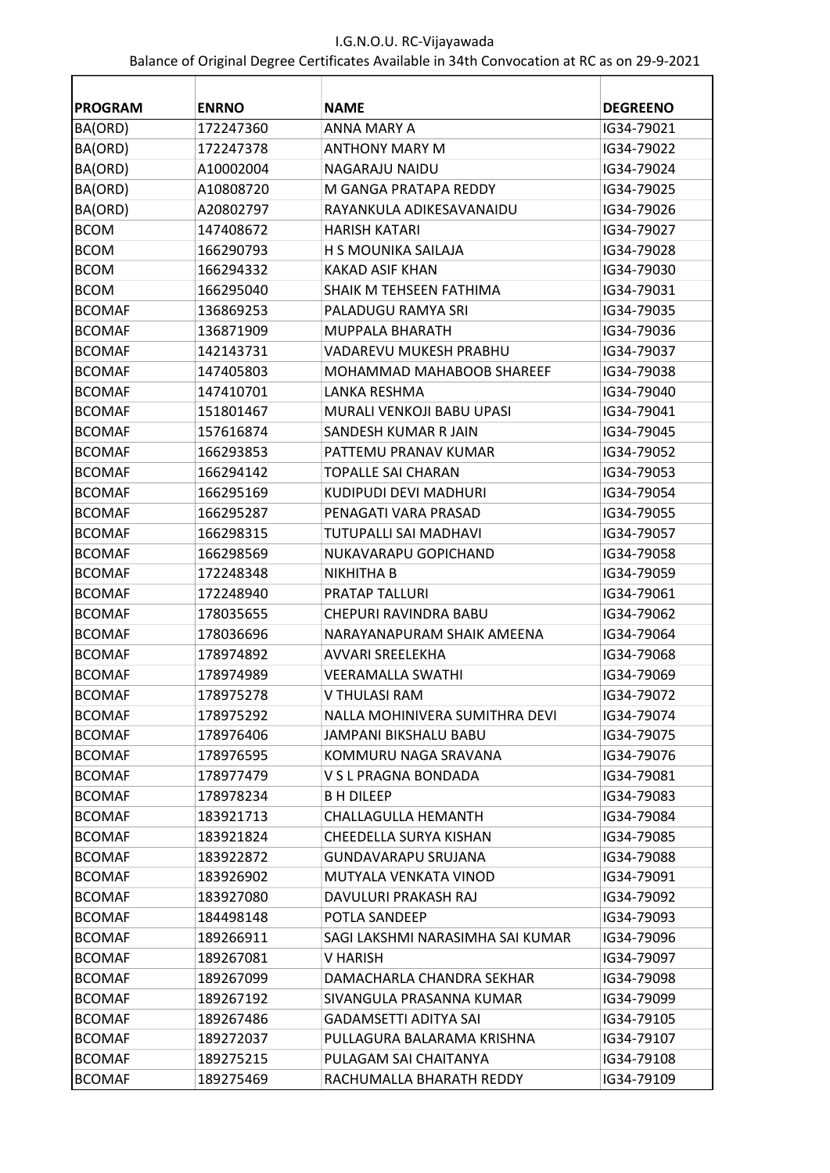| <b>PROGRAM</b> | <b>ENRNO</b> | <b>NAME</b>                      | <b>DEGREENO</b> |
|----------------|--------------|----------------------------------|-----------------|
| BA(ORD)        | 172247360    | ANNA MARY A                      | IG34-79021      |
| BA(ORD)        | 172247378    | <b>ANTHONY MARY M</b>            | IG34-79022      |
| BA(ORD)        | A10002004    | NAGARAJU NAIDU                   | IG34-79024      |
| BA(ORD)        | A10808720    | M GANGA PRATAPA REDDY            | IG34-79025      |
| BA(ORD)        | A20802797    | RAYANKULA ADIKESAVANAIDU         | IG34-79026      |
| <b>BCOM</b>    | 147408672    | <b>HARISH KATARI</b>             | IG34-79027      |
| <b>BCOM</b>    | 166290793    | H S MOUNIKA SAILAJA              | IG34-79028      |
| <b>BCOM</b>    | 166294332    | <b>KAKAD ASIF KHAN</b>           | IG34-79030      |
| <b>BCOM</b>    | 166295040    | SHAIK M TEHSEEN FATHIMA          | IG34-79031      |
| <b>BCOMAF</b>  | 136869253    | PALADUGU RAMYA SRI               | IG34-79035      |
| <b>BCOMAF</b>  | 136871909    | MUPPALA BHARATH                  | IG34-79036      |
| <b>BCOMAF</b>  | 142143731    | VADAREVU MUKESH PRABHU           | IG34-79037      |
| <b>BCOMAF</b>  | 147405803    | MOHAMMAD MAHABOOB SHAREEF        | IG34-79038      |
| <b>BCOMAF</b>  | 147410701    | LANKA RESHMA                     | IG34-79040      |
| <b>BCOMAF</b>  | 151801467    | MURALI VENKOJI BABU UPASI        | IG34-79041      |
| <b>BCOMAF</b>  | 157616874    | SANDESH KUMAR R JAIN             | IG34-79045      |
| <b>BCOMAF</b>  | 166293853    | PATTEMU PRANAV KUMAR             | IG34-79052      |
| <b>BCOMAF</b>  | 166294142    | TOPALLE SAI CHARAN               | IG34-79053      |
| <b>BCOMAF</b>  | 166295169    | KUDIPUDI DEVI MADHURI            | IG34-79054      |
| <b>BCOMAF</b>  | 166295287    | PENAGATI VARA PRASAD             | IG34-79055      |
| <b>BCOMAF</b>  | 166298315    | TUTUPALLI SAI MADHAVI            | IG34-79057      |
| <b>BCOMAF</b>  | 166298569    | NUKAVARAPU GOPICHAND             | IG34-79058      |
| <b>BCOMAF</b>  | 172248348    | NIKHITHA B                       | IG34-79059      |
| <b>BCOMAF</b>  | 172248940    | PRATAP TALLURI                   | IG34-79061      |
| <b>BCOMAF</b>  | 178035655    | CHEPURI RAVINDRA BABU            | IG34-79062      |
| <b>BCOMAF</b>  | 178036696    | NARAYANAPURAM SHAIK AMEENA       | IG34-79064      |
| <b>BCOMAF</b>  | 178974892    | AVVARI SREELEKHA                 | IG34-79068      |
| <b>BCOMAF</b>  | 178974989    | <b>VEERAMALLA SWATHI</b>         | IG34-79069      |
| <b>BCOMAF</b>  | 178975278    | V THULASI RAM                    | IG34-79072      |
| <b>BCOMAF</b>  | 178975292    | NALLA MOHINIVERA SUMITHRA DEVI   | IG34-79074      |
| <b>BCOMAF</b>  | 178976406    | JAMPANI BIKSHALU BABU            | IG34-79075      |
| <b>BCOMAF</b>  | 178976595    | KOMMURU NAGA SRAVANA             | IG34-79076      |
| <b>BCOMAF</b>  | 178977479    | V S L PRAGNA BONDADA             | IG34-79081      |
| <b>BCOMAF</b>  | 178978234    | <b>BH DILEEP</b>                 | IG34-79083      |
| <b>BCOMAF</b>  | 183921713    | CHALLAGULLA HEMANTH              | IG34-79084      |
| <b>BCOMAF</b>  | 183921824    | CHEEDELLA SURYA KISHAN           | IG34-79085      |
| <b>BCOMAF</b>  | 183922872    | GUNDAVARAPU SRUJANA              | IG34-79088      |
| <b>BCOMAF</b>  | 183926902    | MUTYALA VENKATA VINOD            | IG34-79091      |
| <b>BCOMAF</b>  | 183927080    | DAVULURI PRAKASH RAJ             | IG34-79092      |
| <b>BCOMAF</b>  | 184498148    | POTLA SANDEEP                    | IG34-79093      |
| <b>BCOMAF</b>  | 189266911    | SAGI LAKSHMI NARASIMHA SAI KUMAR | IG34-79096      |
| <b>BCOMAF</b>  | 189267081    | V HARISH                         | IG34-79097      |
| <b>BCOMAF</b>  | 189267099    | DAMACHARLA CHANDRA SEKHAR        | IG34-79098      |
| <b>BCOMAF</b>  | 189267192    | SIVANGULA PRASANNA KUMAR         | IG34-79099      |
| BCOMAF         | 189267486    | <b>GADAMSETTI ADITYA SAI</b>     | IG34-79105      |
| <b>BCOMAF</b>  | 189272037    | PULLAGURA BALARAMA KRISHNA       | IG34-79107      |
| <b>BCOMAF</b>  | 189275215    | PULAGAM SAI CHAITANYA            | IG34-79108      |
| <b>BCOMAF</b>  | 189275469    | RACHUMALLA BHARATH REDDY         | IG34-79109      |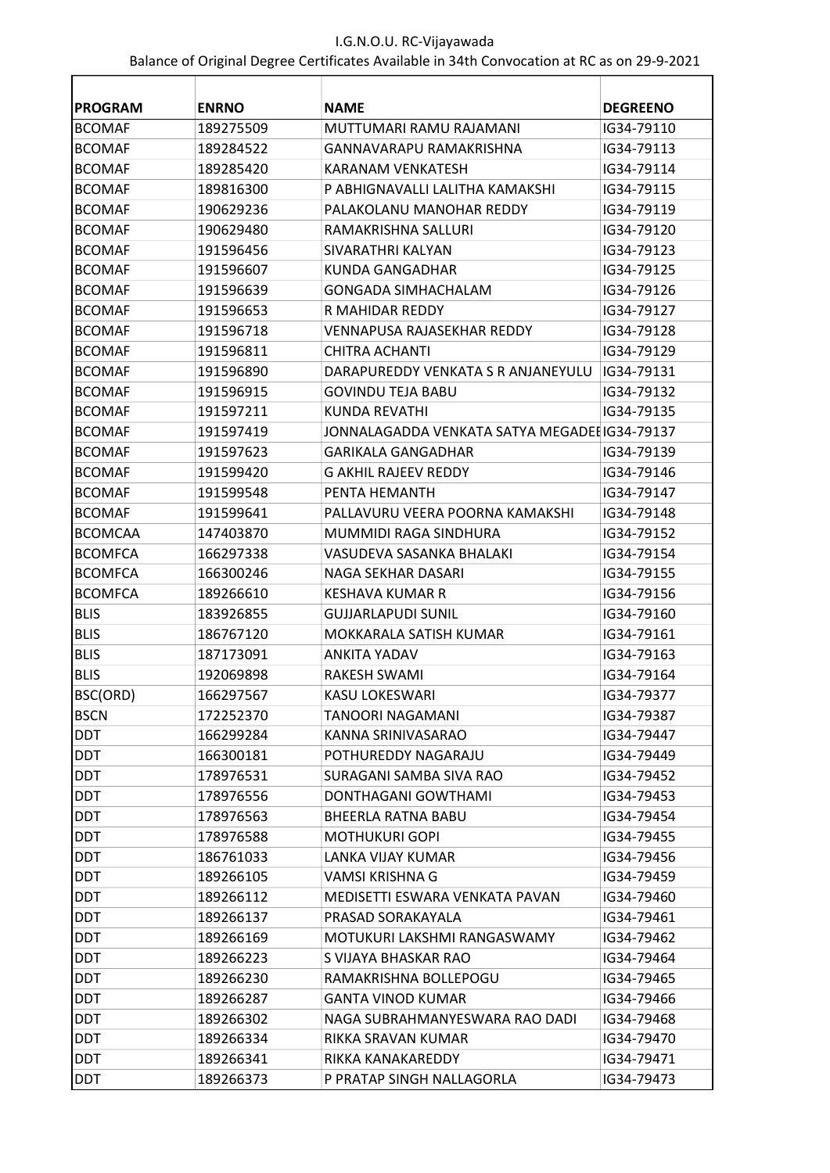| <b>PROGRAM</b> | <b>ENRNO</b> | <b>NAME</b>                                   | <b>DEGREENO</b> |
|----------------|--------------|-----------------------------------------------|-----------------|
| <b>BCOMAF</b>  | 189275509    | MUTTUMARI RAMU RAJAMANI                       | IG34-79110      |
| <b>BCOMAF</b>  | 189284522    | <b>GANNAVARAPU RAMAKRISHNA</b>                | IG34-79113      |
| <b>BCOMAF</b>  | 189285420    | <b>KARANAM VENKATESH</b>                      | IG34-79114      |
| <b>BCOMAF</b>  | 189816300    | P ABHIGNAVALLI LALITHA KAMAKSHI               | IG34-79115      |
| <b>BCOMAF</b>  | 190629236    | PALAKOLANU MANOHAR REDDY                      | IG34-79119      |
| <b>BCOMAF</b>  | 190629480    | RAMAKRISHNA SALLURI                           | IG34-79120      |
| <b>BCOMAF</b>  | 191596456    | SIVARATHRI KALYAN                             | IG34-79123      |
| <b>BCOMAF</b>  | 191596607    | KUNDA GANGADHAR                               | IG34-79125      |
| <b>BCOMAF</b>  | 191596639    | <b>GONGADA SIMHACHALAM</b>                    | IG34-79126      |
| <b>BCOMAF</b>  | 191596653    | R MAHIDAR REDDY                               | IG34-79127      |
| <b>BCOMAF</b>  | 191596718    | VENNAPUSA RAJASEKHAR REDDY                    | IG34-79128      |
| <b>BCOMAF</b>  | 191596811    | <b>CHITRA ACHANTI</b>                         | IG34-79129      |
| <b>BCOMAF</b>  | 191596890    | DARAPUREDDY VENKATA S R ANJANEYULU            | IG34-79131      |
| <b>BCOMAF</b>  | 191596915    | <b>GOVINDU TEIA BABU</b>                      | IG34-79132      |
| <b>BCOMAF</b>  | 191597211    | KUNDA REVATHI                                 | IG34-79135      |
| <b>BCOMAF</b>  | 191597419    | JONNALAGADDA VENKATA SATYA MEGADEI IG34-79137 |                 |
| <b>BCOMAF</b>  | 191597623    | <b>GARIKALA GANGADHAR</b>                     | IG34-79139      |
| <b>BCOMAF</b>  | 191599420    | <b>G AKHIL RAJEEV REDDY</b>                   | IG34-79146      |
| <b>BCOMAF</b>  | 191599548    | PENTA HEMANTH                                 | IG34-79147      |
| <b>BCOMAF</b>  | 191599641    | PALLAVURU VEERA POORNA KAMAKSHI               | IG34-79148      |
| <b>BCOMCAA</b> | 147403870    | MUMMIDI RAGA SINDHURA                         | IG34-79152      |
| <b>BCOMFCA</b> | 166297338    | VASUDEVA SASANKA BHALAKI                      | IG34-79154      |
| <b>BCOMFCA</b> | 166300246    | NAGA SEKHAR DASARI                            | IG34-79155      |
| <b>BCOMFCA</b> | 189266610    | <b>KESHAVA KUMAR R</b>                        | IG34-79156      |
| <b>BLIS</b>    | 183926855    | <b>GUJJARLAPUDI SUNIL</b>                     | IG34-79160      |
| <b>BLIS</b>    | 186767120    | MOKKARALA SATISH KUMAR                        | IG34-79161      |
| <b>BLIS</b>    | 187173091    | <b>ANKITA YADAV</b>                           | IG34-79163      |
| <b>BLIS</b>    | 192069898    | RAKESH SWAMI                                  | IG34-79164      |
| BSC(ORD)       | 166297567    | KASU LOKESWARI                                | IG34-79377      |
| <b>BSCN</b>    | 172252370    | TANOORI NAGAMANI                              | IG34-79387      |
| <b>DDT</b>     | 166299284    | KANNA SRINIVASARAO                            | IG34-79447      |
| <b>DDT</b>     | 166300181    | POTHUREDDY NAGARAJU                           | IG34-79449      |
| <b>DDT</b>     | 178976531    | SURAGANI SAMBA SIVA RAO                       | IG34-79452      |
| <b>DDT</b>     | 178976556    | DONTHAGANI GOWTHAMI                           | IG34-79453      |
| <b>DDT</b>     | 178976563    | <b>BHEERLA RATNA BABU</b>                     | IG34-79454      |
| <b>DDT</b>     | 178976588    | <b>MOTHUKURI GOPI</b>                         | IG34-79455      |
| <b>DDT</b>     | 186761033    | LANKA VIJAY KUMAR                             | IG34-79456      |
| <b>DDT</b>     | 189266105    | VAMSI KRISHNA G                               | IG34-79459      |
| <b>DDT</b>     | 189266112    | MEDISETTI ESWARA VENKATA PAVAN                | IG34-79460      |
| DDT            | 189266137    | PRASAD SORAKAYALA                             | IG34-79461      |
| <b>DDT</b>     | 189266169    | MOTUKURI LAKSHMI RANGASWAMY                   | IG34-79462      |
| <b>DDT</b>     | 189266223    | S VIJAYA BHASKAR RAO                          | IG34-79464      |
| <b>DDT</b>     | 189266230    | RAMAKRISHNA BOLLEPOGU                         | IG34-79465      |
| <b>DDT</b>     | 189266287    | <b>GANTA VINOD KUMAR</b>                      | IG34-79466      |
| DDT            | 189266302    | NAGA SUBRAHMANYESWARA RAO DADI                | IG34-79468      |
| DDT            | 189266334    | RIKKA SRAVAN KUMAR                            | IG34-79470      |
| <b>DDT</b>     | 189266341    | RIKKA KANAKAREDDY                             | IG34-79471      |
| <b>DDT</b>     | 189266373    | P PRATAP SINGH NALLAGORLA                     | IG34-79473      |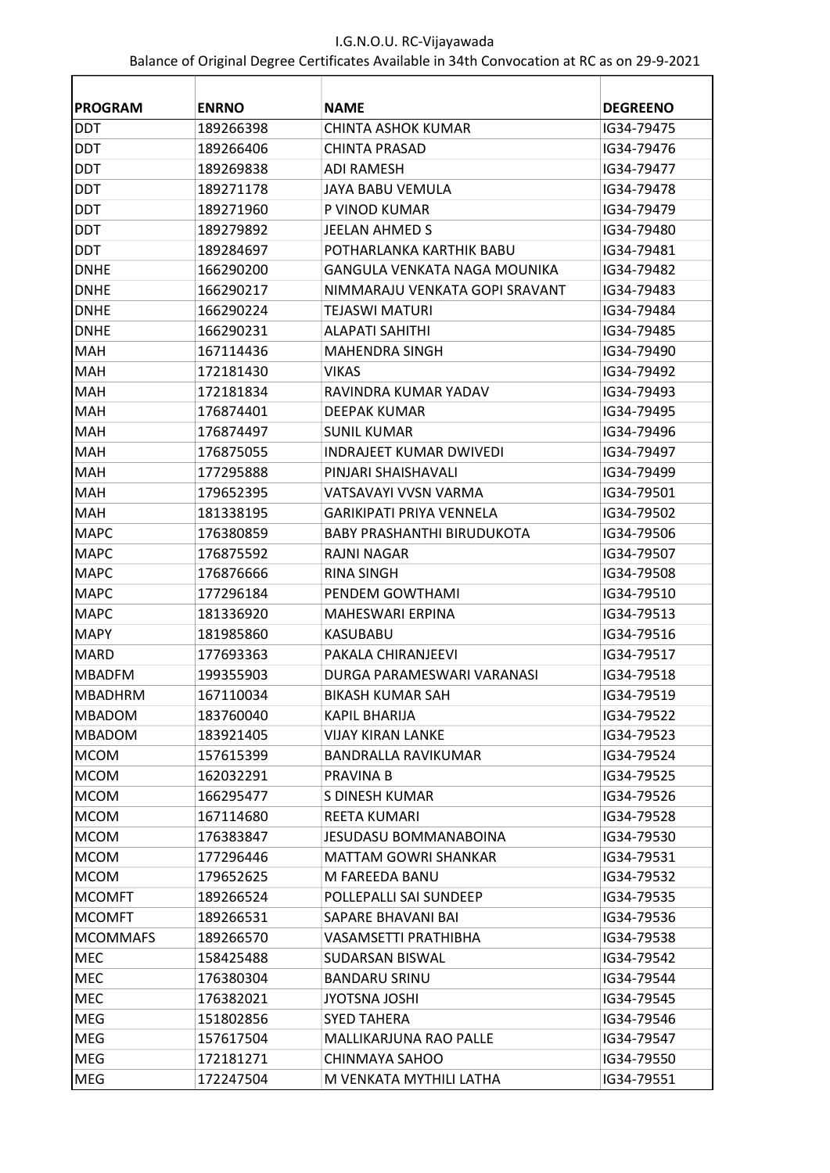| <b>PROGRAM</b>             | <b>ENRNO</b> | <b>NAME</b>                       | <b>DEGREENO</b> |
|----------------------------|--------------|-----------------------------------|-----------------|
| <b>DDT</b>                 | 189266398    | CHINTA ASHOK KUMAR                | IG34-79475      |
| <b>DDT</b>                 | 189266406    | CHINTA PRASAD                     | IG34-79476      |
| <b>DDT</b>                 | 189269838    | <b>ADI RAMESH</b>                 | IG34-79477      |
| <b>DDT</b>                 | 189271178    | JAYA BABU VEMULA                  | IG34-79478      |
| <b>DDT</b>                 | 189271960    | P VINOD KUMAR                     | IG34-79479      |
| <b>DDT</b>                 | 189279892    | JEELAN AHMED S                    | IG34-79480      |
| <b>DDT</b>                 | 189284697    | POTHARLANKA KARTHIK BABU          | IG34-79481      |
| <b>DNHE</b>                | 166290200    | GANGULA VENKATA NAGA MOUNIKA      | IG34-79482      |
| <b>DNHE</b>                | 166290217    | NIMMARAJU VENKATA GOPI SRAVANT    | IG34-79483      |
| <b>DNHE</b>                | 166290224    | TEJASWI MATURI                    | IG34-79484      |
| <b>DNHE</b>                | 166290231    | ALAPATI SAHITHI                   | IG34-79485      |
| <b>MAH</b>                 | 167114436    | <b>MAHENDRA SINGH</b>             | IG34-79490      |
| <b>MAH</b>                 | 172181430    | VIKAS                             | IG34-79492      |
| <b>MAH</b>                 | 172181834    | RAVINDRA KUMAR YADAV              | IG34-79493      |
| <b>MAH</b>                 | 176874401    | DEEPAK KUMAR                      | IG34-79495      |
| MAH                        | 176874497    | <b>SUNIL KUMAR</b>                | IG34-79496      |
| <b>MAH</b>                 | 176875055    | <b>INDRAJEET KUMAR DWIVEDI</b>    | IG34-79497      |
| <b>MAH</b>                 | 177295888    | PINJARI SHAISHAVALI               | IG34-79499      |
| <b>MAH</b>                 | 179652395    | VATSAVAYI VVSN VARMA              | IG34-79501      |
| <b>MAH</b>                 | 181338195    | <b>GARIKIPATI PRIYA VENNELA</b>   | IG34-79502      |
| <b>MAPC</b>                | 176380859    | <b>BABY PRASHANTHI BIRUDUKOTA</b> | IG34-79506      |
| <b>MAPC</b>                | 176875592    | RAJNI NAGAR                       | IG34-79507      |
| <b>MAPC</b>                | 176876666    | RINA SINGH                        | IG34-79508      |
| <b>MAPC</b>                | 177296184    | PENDEM GOWTHAMI                   | IG34-79510      |
| <b>MAPC</b>                | 181336920    | MAHESWARI ERPINA                  | IG34-79513      |
| <b>MAPY</b>                | 181985860    | KASUBABU                          | IG34-79516      |
| <b>MARD</b>                | 177693363    | PAKALA CHIRANJEEVI                | IG34-79517      |
| <b>MBADFM</b>              | 199355903    | DURGA PARAMESWARI VARANASI        | IG34-79518      |
| <b>MBADHRM</b>             | 167110034    | <b>BIKASH KUMAR SAH</b>           | IG34-79519      |
| <b>MBADOM</b>              | 183760040    | KAPIL BHARIJA                     | IG34-79522      |
| <b>MBADOM</b>              | 183921405    | <b>VIJAY KIRAN LANKE</b>          | IG34-79523      |
|                            | 157615399    | <b>BANDRALLA RAVIKUMAR</b>        | IG34-79524      |
| <b>MCOM</b><br><b>MCOM</b> | 162032291    | PRAVINA B                         |                 |
|                            |              |                                   | IG34-79525      |
| <b>MCOM</b>                | 166295477    | S DINESH KUMAR                    | IG34-79526      |
| <b>MCOM</b>                | 167114680    | REETA KUMARI                      | IG34-79528      |
| <b>MCOM</b>                | 176383847    | JESUDASU BOMMANABOINA             | IG34-79530      |
| <b>MCOM</b>                | 177296446    | MATTAM GOWRI SHANKAR              | IG34-79531      |
| <b>MCOM</b>                | 179652625    | M FAREEDA BANU                    | IG34-79532      |
| <b>MCOMFT</b>              | 189266524    | POLLEPALLI SAI SUNDEEP            | IG34-79535      |
| <b>MCOMFT</b>              | 189266531    | SAPARE BHAVANI BAI                | IG34-79536      |
| <b>MCOMMAFS</b>            | 189266570    | VASAMSETTI PRATHIBHA              | IG34-79538      |
| MEC                        | 158425488    | SUDARSAN BISWAL                   | IG34-79542      |
| MEC                        | 176380304    | <b>BANDARU SRINU</b>              | IG34-79544      |
| MEC                        | 176382021    | JYOTSNA JOSHI                     | IG34-79545      |
| MEG                        | 151802856    | <b>SYED TAHERA</b>                | IG34-79546      |
| MEG                        | 157617504    | MALLIKARJUNA RAO PALLE            | IG34-79547      |
| <b>MEG</b>                 | 172181271    | CHINMAYA SAHOO                    | IG34-79550      |
| MEG                        | 172247504    | M VENKATA MYTHILI LATHA           | IG34-79551      |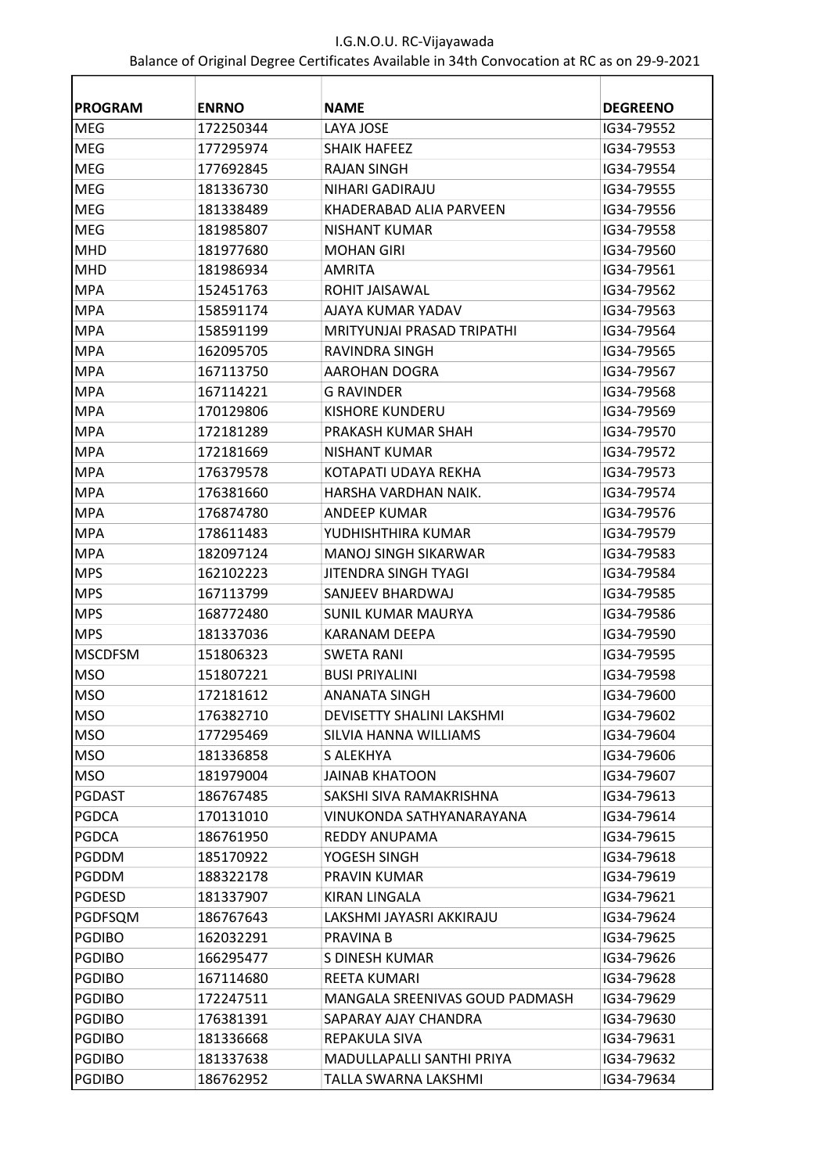| <b>PROGRAM</b> | <b>ENRNO</b> | <b>NAME</b>                    | <b>DEGREENO</b> |
|----------------|--------------|--------------------------------|-----------------|
| <b>MEG</b>     | 172250344    | LAYA JOSE                      | IG34-79552      |
| <b>MEG</b>     | 177295974    | <b>SHAIK HAFEEZ</b>            | IG34-79553      |
| <b>MEG</b>     | 177692845    | RAJAN SINGH                    | IG34-79554      |
| <b>MEG</b>     | 181336730    | NIHARI GADIRAJU                | IG34-79555      |
| <b>MEG</b>     | 181338489    | KHADERABAD ALIA PARVEEN        | IG34-79556      |
| <b>MEG</b>     | 181985807    | NISHANT KUMAR                  | IG34-79558      |
| <b>MHD</b>     | 181977680    | <b>MOHAN GIRI</b>              | IG34-79560      |
| <b>MHD</b>     | 181986934    | AMRITA                         | IG34-79561      |
| <b>MPA</b>     | 152451763    | ROHIT JAISAWAL                 | IG34-79562      |
| <b>MPA</b>     | 158591174    | AJAYA KUMAR YADAV              | IG34-79563      |
| <b>MPA</b>     | 158591199    | MRITYUNJAI PRASAD TRIPATHI     | IG34-79564      |
| <b>MPA</b>     | 162095705    | RAVINDRA SINGH                 | IG34-79565      |
| MPA            | 167113750    | AAROHAN DOGRA                  | IG34-79567      |
| <b>MPA</b>     | 167114221    | <b>G RAVINDER</b>              | IG34-79568      |
| <b>MPA</b>     | 170129806    | KISHORE KUNDERU                | IG34-79569      |
| <b>MPA</b>     | 172181289    | PRAKASH KUMAR SHAH             | IG34-79570      |
| <b>MPA</b>     | 172181669    | <b>NISHANT KUMAR</b>           | IG34-79572      |
| <b>MPA</b>     | 176379578    | KOTAPATI UDAYA REKHA           | IG34-79573      |
| <b>MPA</b>     | 176381660    | HARSHA VARDHAN NAIK.           | IG34-79574      |
| <b>MPA</b>     | 176874780    | ANDEEP KUMAR                   | IG34-79576      |
| <b>MPA</b>     | 178611483    | YUDHISHTHIRA KUMAR             | IG34-79579      |
| <b>MPA</b>     | 182097124    | MANOJ SINGH SIKARWAR           | IG34-79583      |
| <b>MPS</b>     | 162102223    | JITENDRA SINGH TYAGI           | IG34-79584      |
| <b>MPS</b>     | 167113799    | SANJEEV BHARDWAJ               | IG34-79585      |
| <b>MPS</b>     | 168772480    | SUNIL KUMAR MAURYA             | IG34-79586      |
| <b>MPS</b>     | 181337036    | KARANAM DEEPA                  | IG34-79590      |
| <b>MSCDFSM</b> | 151806323    | <b>SWETA RANI</b>              | IG34-79595      |
| <b>MSO</b>     | 151807221    | <b>BUSI PRIYALINI</b>          | IG34-79598      |
| <b>MSO</b>     | 172181612    | ANANATA SINGH                  | 1G34-79600      |
| <b>MSO</b>     | 176382710    | DEVISETTY SHALINI LAKSHMI      | IG34-79602      |
| <b>MSO</b>     | 177295469    | SILVIA HANNA WILLIAMS          | IG34-79604      |
| <b>MSO</b>     | 181336858    | S ALEKHYA                      | IG34-79606      |
| <b>MSO</b>     | 181979004    | <b>JAINAB KHATOON</b>          | IG34-79607      |
| PGDAST         | 186767485    | SAKSHI SIVA RAMAKRISHNA        | IG34-79613      |
| PGDCA          | 170131010    | VINUKONDA SATHYANARAYANA       | IG34-79614      |
| <b>PGDCA</b>   | 186761950    | REDDY ANUPAMA                  | IG34-79615      |
| PGDDM          | 185170922    | YOGESH SINGH                   | IG34-79618      |
| <b>PGDDM</b>   | 188322178    | PRAVIN KUMAR                   | IG34-79619      |
| <b>PGDESD</b>  | 181337907    | KIRAN LINGALA                  | IG34-79621      |
| PGDFSQM        | 186767643    | LAKSHMI JAYASRI AKKIRAJU       | IG34-79624      |
| <b>PGDIBO</b>  | 162032291    | PRAVINA B                      | IG34-79625      |
| <b>PGDIBO</b>  | 166295477    | S DINESH KUMAR                 | IG34-79626      |
| <b>PGDIBO</b>  | 167114680    | REETA KUMARI                   | IG34-79628      |
| <b>PGDIBO</b>  | 172247511    | MANGALA SREENIVAS GOUD PADMASH | IG34-79629      |
| <b>PGDIBO</b>  | 176381391    | SAPARAY AJAY CHANDRA           | IG34-79630      |
| <b>PGDIBO</b>  | 181336668    | REPAKULA SIVA                  | IG34-79631      |
| <b>PGDIBO</b>  | 181337638    | MADULLAPALLI SANTHI PRIYA      | IG34-79632      |
| <b>PGDIBO</b>  | 186762952    | TALLA SWARNA LAKSHMI           | IG34-79634      |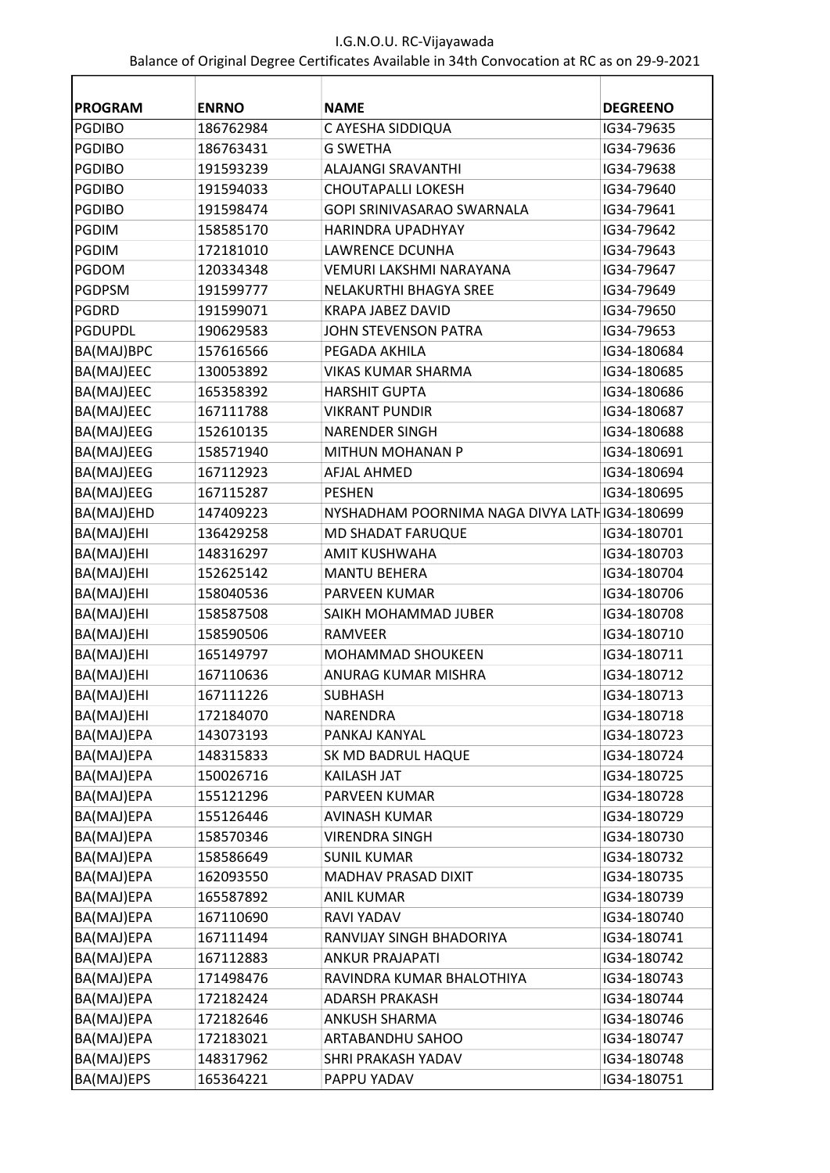| <b>PROGRAM</b> | <b>ENRNO</b> | <b>NAME</b>                                   | <b>DEGREENO</b> |
|----------------|--------------|-----------------------------------------------|-----------------|
| <b>PGDIBO</b>  | 186762984    | C AYESHA SIDDIQUA                             | IG34-79635      |
| <b>PGDIBO</b>  | 186763431    | <b>G SWETHA</b>                               | IG34-79636      |
| <b>PGDIBO</b>  | 191593239    | <b>ALAJANGI SRAVANTHI</b>                     | IG34-79638      |
| <b>PGDIBO</b>  | 191594033    | <b>CHOUTAPALLI LOKESH</b>                     | IG34-79640      |
| <b>PGDIBO</b>  | 191598474    | GOPI SRINIVASARAO SWARNALA                    | IG34-79641      |
| <b>PGDIM</b>   | 158585170    | <b>HARINDRA UPADHYAY</b>                      | IG34-79642      |
| <b>PGDIM</b>   | 172181010    | <b>LAWRENCE DCUNHA</b>                        | IG34-79643      |
| <b>PGDOM</b>   | 120334348    | <b>VEMURI LAKSHMI NARAYANA</b>                | IG34-79647      |
| <b>PGDPSM</b>  | 191599777    | NELAKURTHI BHAGYA SREE                        | IG34-79649      |
| <b>PGDRD</b>   | 191599071    | KRAPA JABEZ DAVID                             | IG34-79650      |
| <b>PGDUPDL</b> | 190629583    | JOHN STEVENSON PATRA                          | IG34-79653      |
| BA(MAJ)BPC     | 157616566    | PEGADA AKHILA                                 | IG34-180684     |
| BA(MAJ)EEC     | 130053892    | <b>VIKAS KUMAR SHARMA</b>                     | IG34-180685     |
| BA(MAJ)EEC     | 165358392    | <b>HARSHIT GUPTA</b>                          | IG34-180686     |
| BA(MAJ)EEC     | 167111788    | <b>VIKRANT PUNDIR</b>                         | IG34-180687     |
| BA(MAJ)EEG     | 152610135    | <b>NARENDER SINGH</b>                         | IG34-180688     |
| BA(MAJ)EEG     | 158571940    | <b>MITHUN MOHANAN P</b>                       | IG34-180691     |
| BA(MAJ)EEG     | 167112923    | <b>AFJAL AHMED</b>                            | IG34-180694     |
| BA(MAJ)EEG     | 167115287    | <b>PESHEN</b>                                 | IG34-180695     |
| BA(MAJ)EHD     | 147409223    | NYSHADHAM POORNIMA NAGA DIVYA LATHIG34-180699 |                 |
| BA(MAJ)EHI     | 136429258    | MD SHADAT FARUQUE                             | IG34-180701     |
| BA(MAJ)EHI     | 148316297    | <b>AMIT KUSHWAHA</b>                          | IG34-180703     |
| BA(MAJ)EHI     | 152625142    | <b>MANTU BEHERA</b>                           | IG34-180704     |
| BA(MAJ)EHI     | 158040536    | PARVEEN KUMAR                                 | IG34-180706     |
| BA(MAJ)EHI     | 158587508    | SAIKH MOHAMMAD JUBER                          | IG34-180708     |
| BA(MAJ)EHI     | 158590506    | <b>RAMVEER</b>                                | IG34-180710     |
| BA(MAJ)EHI     | 165149797    | <b>MOHAMMAD SHOUKEEN</b>                      | IG34-180711     |
| BA(MAJ)EHI     | 167110636    | ANURAG KUMAR MISHRA                           | IG34-180712     |
| BA(MAJ)EHI     | 167111226    | <b>SUBHASH</b>                                | IG34-180713     |
| BA(MAJ)EHI     | 172184070    | NARENDRA                                      | IG34-180718     |
| BA(MAJ)EPA     | 143073193    | PANKAJ KANYAL                                 | IG34-180723     |
| BA(MAJ)EPA     | 148315833    | SK MD BADRUL HAQUE                            | IG34-180724     |
| BA(MAJ)EPA     | 150026716    | KAILASH JAT                                   | IG34-180725     |
| BA(MAJ)EPA     | 155121296    | PARVEEN KUMAR                                 | IG34-180728     |
| BA(MAJ)EPA     | 155126446    | <b>AVINASH KUMAR</b>                          | IG34-180729     |
| BA(MAJ)EPA     | 158570346    | <b>VIRENDRA SINGH</b>                         | IG34-180730     |
| BA(MAJ)EPA     | 158586649    | <b>SUNIL KUMAR</b>                            | IG34-180732     |
| BA(MAJ)EPA     | 162093550    | MADHAV PRASAD DIXIT                           | IG34-180735     |
| BA(MAJ)EPA     | 165587892    | <b>ANIL KUMAR</b>                             | IG34-180739     |
| BA(MAJ)EPA     | 167110690    | RAVI YADAV                                    | IG34-180740     |
| BA(MAJ)EPA     | 167111494    | RANVIJAY SINGH BHADORIYA                      | IG34-180741     |
| BA(MAJ)EPA     | 167112883    | <b>ANKUR PRAJAPATI</b>                        | IG34-180742     |
| BA(MAJ)EPA     | 171498476    | RAVINDRA KUMAR BHALOTHIYA                     | IG34-180743     |
| BA(MAJ)EPA     | 172182424    | <b>ADARSH PRAKASH</b>                         | IG34-180744     |
| BA(MAJ)EPA     | 172182646    | ANKUSH SHARMA                                 | IG34-180746     |
| BA(MAJ)EPA     | 172183021    | ARTABANDHU SAHOO                              | IG34-180747     |
| BA(MAJ)EPS     | 148317962    | SHRI PRAKASH YADAV                            | IG34-180748     |
| BA(MAJ)EPS     | 165364221    | PAPPU YADAV                                   | IG34-180751     |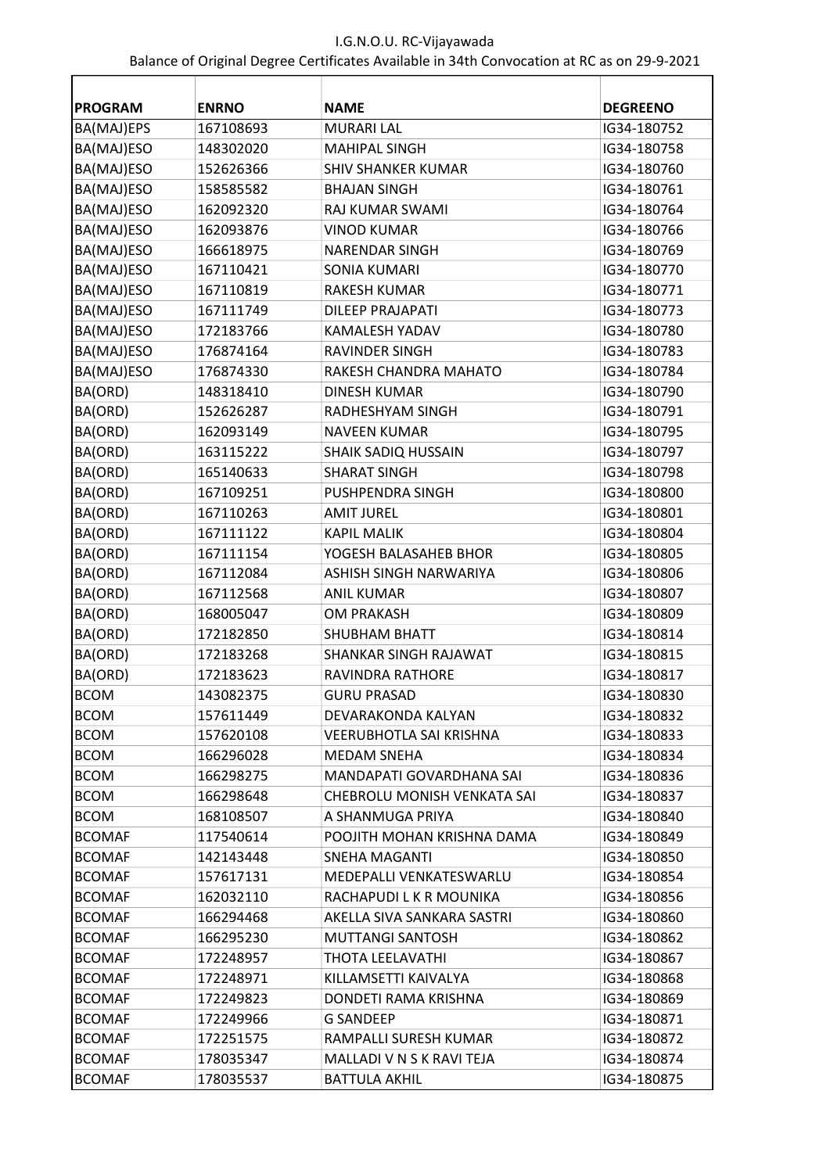| <b>PROGRAM</b> | <b>ENRNO</b> | <b>NAME</b>                 | <b>DEGREENO</b> |
|----------------|--------------|-----------------------------|-----------------|
| BA(MAJ)EPS     | 167108693    | <b>MURARI LAL</b>           | IG34-180752     |
| BA(MAJ)ESO     | 148302020    | <b>MAHIPAL SINGH</b>        | IG34-180758     |
| BA(MAJ)ESO     | 152626366    | <b>SHIV SHANKER KUMAR</b>   | IG34-180760     |
| BA(MAJ)ESO     | 158585582    | <b>BHAJAN SINGH</b>         | IG34-180761     |
| BA(MAJ)ESO     | 162092320    | RAJ KUMAR SWAMI             | IG34-180764     |
| BA(MAJ)ESO     | 162093876    | <b>VINOD KUMAR</b>          | IG34-180766     |
| BA(MAJ)ESO     | 166618975    | <b>NARENDAR SINGH</b>       | IG34-180769     |
| BA(MAJ)ESO     | 167110421    | <b>SONIA KUMARI</b>         | IG34-180770     |
| BA(MAJ)ESO     | 167110819    | <b>RAKESH KUMAR</b>         | IG34-180771     |
| BA(MAJ)ESO     | 167111749    | <b>DILEEP PRAJAPATI</b>     | IG34-180773     |
| BA(MAJ)ESO     | 172183766    | <b>KAMALESH YADAV</b>       | IG34-180780     |
| BA(MAJ)ESO     | 176874164    | <b>RAVINDER SINGH</b>       | IG34-180783     |
| BA(MAJ)ESO     | 176874330    | RAKESH CHANDRA MAHATO       | IG34-180784     |
| BA(ORD)        | 148318410    | <b>DINESH KUMAR</b>         | IG34-180790     |
| BA(ORD)        | 152626287    | RADHESHYAM SINGH            | IG34-180791     |
| BA(ORD)        | 162093149    | <b>NAVEEN KUMAR</b>         | IG34-180795     |
| BA(ORD)        | 163115222    | <b>SHAIK SADIQ HUSSAIN</b>  | IG34-180797     |
| BA(ORD)        | 165140633    | <b>SHARAT SINGH</b>         | IG34-180798     |
| BA(ORD)        | 167109251    | PUSHPENDRA SINGH            | IG34-180800     |
| BA(ORD)        | 167110263    | <b>AMIT JUREL</b>           | IG34-180801     |
| BA(ORD)        | 167111122    | <b>KAPIL MALIK</b>          | IG34-180804     |
| BA(ORD)        | 167111154    | YOGESH BALASAHEB BHOR       | IG34-180805     |
| BA(ORD)        | 167112084    | ASHISH SINGH NARWARIYA      | IG34-180806     |
| BA(ORD)        | 167112568    | <b>ANIL KUMAR</b>           | IG34-180807     |
| BA(ORD)        | 168005047    | <b>OM PRAKASH</b>           | IG34-180809     |
| BA(ORD)        | 172182850    | <b>SHUBHAM BHATT</b>        | IG34-180814     |
| BA(ORD)        | 172183268    | SHANKAR SINGH RAJAWAT       | IG34-180815     |
| BA(ORD)        | 172183623    | <b>RAVINDRA RATHORE</b>     | IG34-180817     |
| <b>BCOM</b>    | 143082375    | <b>GURU PRASAD</b>          | IG34-180830     |
| <b>BCOM</b>    | 157611449    | DEVARAKONDA KALYAN          | IG34-180832     |
| <b>BCOM</b>    | 157620108    | VEERUBHOTLA SAI KRISHNA     | IG34-180833     |
| <b>BCOM</b>    | 166296028    | MEDAM SNEHA                 | IG34-180834     |
| <b>BCOM</b>    | 166298275    | MANDAPATI GOVARDHANA SAI    | IG34-180836     |
| <b>BCOM</b>    | 166298648    | CHEBROLU MONISH VENKATA SAI | IG34-180837     |
| <b>BCOM</b>    | 168108507    | A SHANMUGA PRIYA            | IG34-180840     |
| <b>BCOMAF</b>  | 117540614    | POOJITH MOHAN KRISHNA DAMA  | IG34-180849     |
| <b>BCOMAF</b>  | 142143448    | SNEHA MAGANTI               | IG34-180850     |
| <b>BCOMAF</b>  | 157617131    | MEDEPALLI VENKATESWARLU     | IG34-180854     |
| <b>BCOMAF</b>  | 162032110    | RACHAPUDI L K R MOUNIKA     | IG34-180856     |
| <b>BCOMAF</b>  | 166294468    | AKELLA SIVA SANKARA SASTRI  | IG34-180860     |
| <b>BCOMAF</b>  | 166295230    | <b>MUTTANGI SANTOSH</b>     | IG34-180862     |
| <b>BCOMAF</b>  | 172248957    | THOTA LEELAVATHI            | IG34-180867     |
| <b>BCOMAF</b>  | 172248971    | KILLAMSETTI KAIVALYA        | IG34-180868     |
| <b>BCOMAF</b>  | 172249823    | DONDETI RAMA KRISHNA        | IG34-180869     |
| <b>BCOMAF</b>  | 172249966    | <b>G SANDEEP</b>            | IG34-180871     |
| <b>BCOMAF</b>  | 172251575    | RAMPALLI SURESH KUMAR       | IG34-180872     |
| <b>BCOMAF</b>  | 178035347    | MALLADI V N S K RAVI TEJA   | IG34-180874     |
| <b>BCOMAF</b>  | 178035537    | <b>BATTULA AKHIL</b>        | IG34-180875     |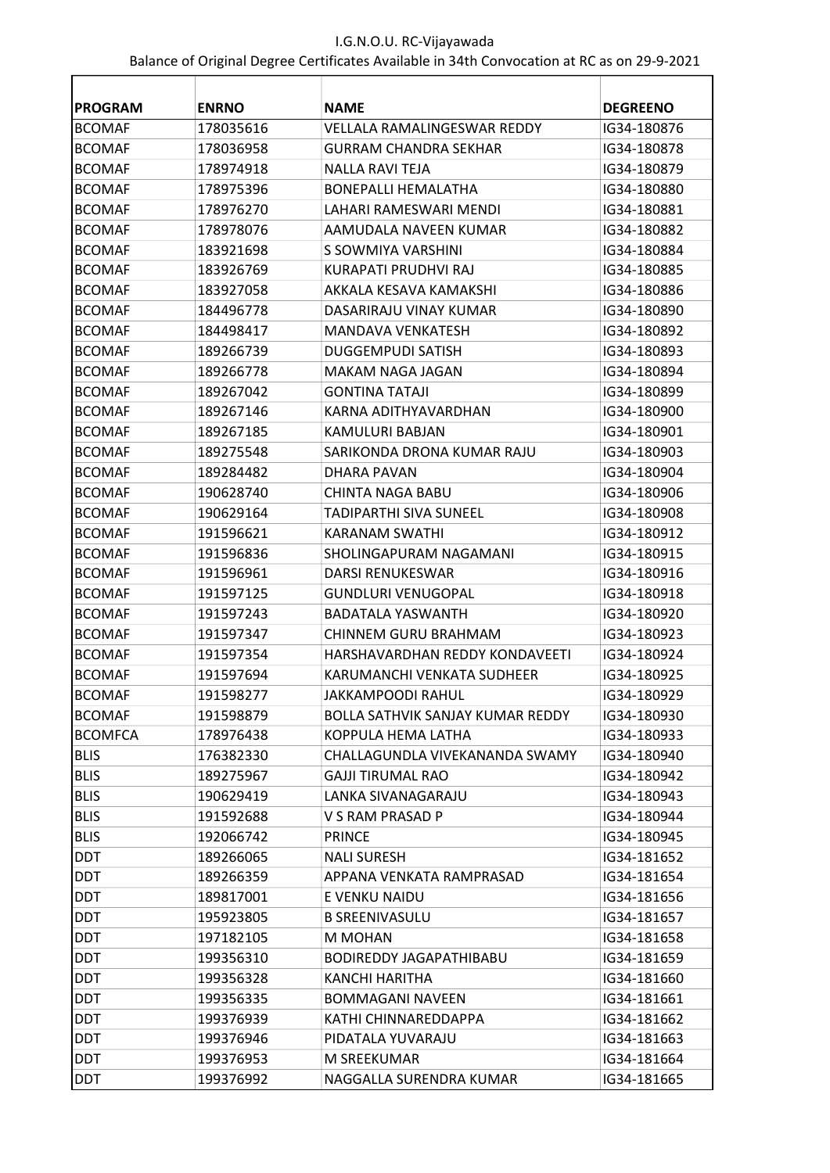| <b>PROGRAM</b> | <b>ENRNO</b> | <b>NAME</b>                        | <b>DEGREENO</b> |
|----------------|--------------|------------------------------------|-----------------|
| <b>BCOMAF</b>  | 178035616    | <b>VELLALA RAMALINGESWAR REDDY</b> | IG34-180876     |
| <b>BCOMAF</b>  | 178036958    | <b>GURRAM CHANDRA SEKHAR</b>       | IG34-180878     |
| <b>BCOMAF</b>  | 178974918    | <b>NALLA RAVI TEJA</b>             | IG34-180879     |
| <b>BCOMAF</b>  | 178975396    | <b>BONEPALLI HEMALATHA</b>         | IG34-180880     |
| <b>BCOMAF</b>  | 178976270    | LAHARI RAMESWARI MENDI             | IG34-180881     |
| <b>BCOMAF</b>  | 178978076    | AAMUDALA NAVEEN KUMAR              | IG34-180882     |
| <b>BCOMAF</b>  | 183921698    | S SOWMIYA VARSHINI                 | IG34-180884     |
| <b>BCOMAF</b>  | 183926769    | KURAPATI PRUDHVI RAJ               | IG34-180885     |
| <b>BCOMAF</b>  | 183927058    | AKKALA KESAVA KAMAKSHI             | IG34-180886     |
| <b>BCOMAF</b>  | 184496778    | DASARIRAJU VINAY KUMAR             | IG34-180890     |
| <b>BCOMAF</b>  | 184498417    | MANDAVA VENKATESH                  | IG34-180892     |
| <b>BCOMAF</b>  | 189266739    | <b>DUGGEMPUDI SATISH</b>           | IG34-180893     |
| <b>BCOMAF</b>  | 189266778    | MAKAM NAGA JAGAN                   | IG34-180894     |
| <b>BCOMAF</b>  | 189267042    | <b>GONTINA TATAJI</b>              | IG34-180899     |
| <b>BCOMAF</b>  | 189267146    | KARNA ADITHYAVARDHAN               | IG34-180900     |
| <b>BCOMAF</b>  | 189267185    | KAMULURI BABJAN                    | IG34-180901     |
| <b>BCOMAF</b>  | 189275548    | SARIKONDA DRONA KUMAR RAJU         | IG34-180903     |
| <b>BCOMAF</b>  | 189284482    | DHARA PAVAN                        | IG34-180904     |
| <b>BCOMAF</b>  | 190628740    | <b>CHINTA NAGA BABU</b>            | IG34-180906     |
| <b>BCOMAF</b>  | 190629164    | <b>TADIPARTHI SIVA SUNEEL</b>      | IG34-180908     |
| <b>BCOMAF</b>  | 191596621    | KARANAM SWATHI                     | IG34-180912     |
| <b>BCOMAF</b>  | 191596836    | SHOLINGAPURAM NAGAMANI             | IG34-180915     |
| <b>BCOMAF</b>  | 191596961    | <b>DARSI RENUKESWAR</b>            | IG34-180916     |
| <b>BCOMAF</b>  | 191597125    | <b>GUNDLURI VENUGOPAL</b>          | IG34-180918     |
| <b>BCOMAF</b>  | 191597243    | <b>BADATALA YASWANTH</b>           | IG34-180920     |
| <b>BCOMAF</b>  | 191597347    | CHINNEM GURU BRAHMAM               | IG34-180923     |
| <b>BCOMAF</b>  | 191597354    | HARSHAVARDHAN REDDY KONDAVEETI     | IG34-180924     |
| <b>BCOMAF</b>  | 191597694    | KARUMANCHI VENKATA SUDHEER         | IG34-180925     |
| <b>BCOMAF</b>  | 191598277    | <b>JAKKAMPOODI RAHUL</b>           | IG34-180929     |
| BCOMAF         | 191598879    | BOLLA SATHVIK SANJAY KUMAR REDDY   | IG34-180930     |
| <b>BCOMFCA</b> | 178976438    | KOPPULA HEMA LATHA                 | IG34-180933     |
| <b>BLIS</b>    | 176382330    | CHALLAGUNDLA VIVEKANANDA SWAMY     | IG34-180940     |
| <b>BLIS</b>    | 189275967    | <b>GAJJI TIRUMAL RAO</b>           | IG34-180942     |
| <b>BLIS</b>    | 190629419    | LANKA SIVANAGARAJU                 | IG34-180943     |
| <b>BLIS</b>    | 191592688    | V S RAM PRASAD P                   | IG34-180944     |
| <b>BLIS</b>    | 192066742    | <b>PRINCE</b>                      | IG34-180945     |
| <b>DDT</b>     | 189266065    | <b>NALI SURESH</b>                 | IG34-181652     |
| <b>DDT</b>     | 189266359    | APPANA VENKATA RAMPRASAD           | IG34-181654     |
| DDT            | 189817001    | E VENKU NAIDU                      | IG34-181656     |
| <b>DDT</b>     | 195923805    | <b>B SREENIVASULU</b>              | IG34-181657     |
| DDT            | 197182105    | M MOHAN                            | IG34-181658     |
| <b>DDT</b>     | 199356310    | BODIREDDY JAGAPATHIBABU            | IG34-181659     |
| <b>DDT</b>     | 199356328    | KANCHI HARITHA                     | IG34-181660     |
| DDT            | 199356335    | <b>BOMMAGANI NAVEEN</b>            | IG34-181661     |
| DDT            | 199376939    | KATHI CHINNAREDDAPPA               | IG34-181662     |
| DDT            | 199376946    | PIDATALA YUVARAJU                  | IG34-181663     |
| DDT            | 199376953    | M SREEKUMAR                        | IG34-181664     |
| <b>DDT</b>     | 199376992    | NAGGALLA SURENDRA KUMAR            | IG34-181665     |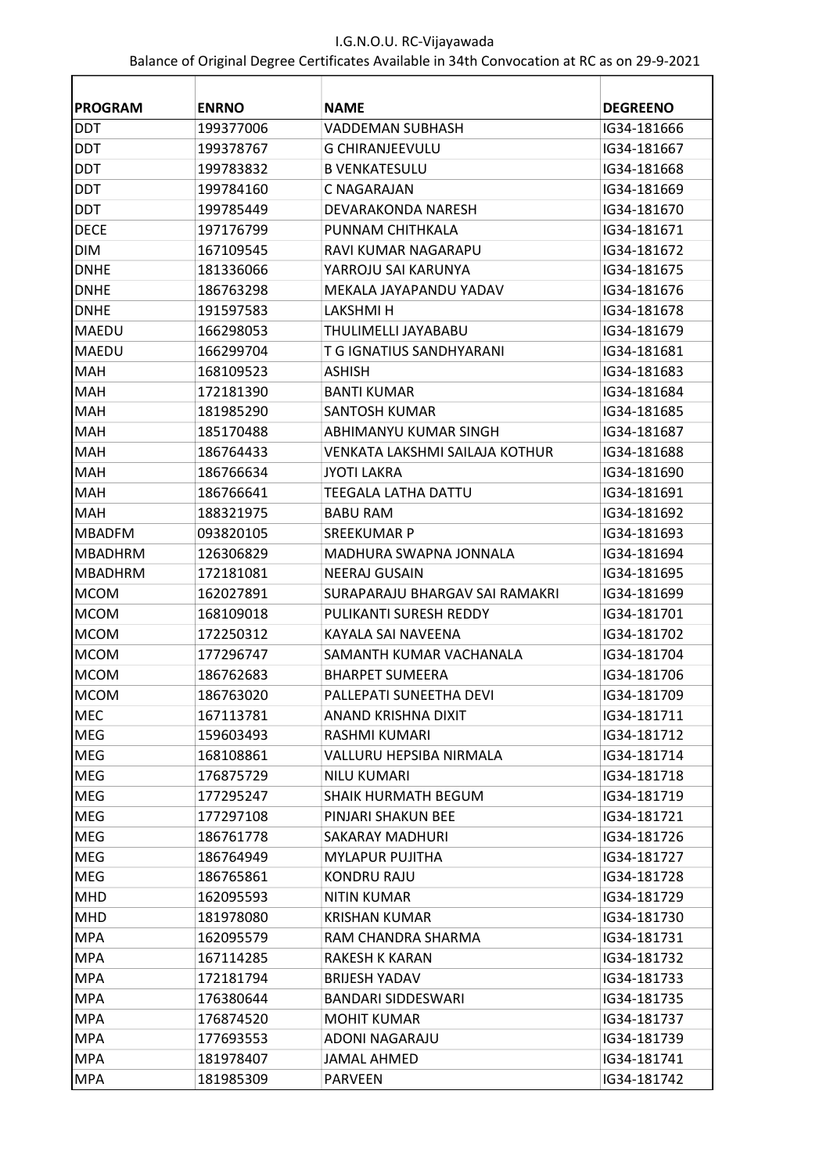| <b>PROGRAM</b> | <b>ENRNO</b> | <b>NAME</b>                    | <b>DEGREENO</b> |
|----------------|--------------|--------------------------------|-----------------|
| <b>DDT</b>     | 199377006    | VADDEMAN SUBHASH               | IG34-181666     |
| <b>DDT</b>     | 199378767    | <b>G CHIRANJEEVULU</b>         | IG34-181667     |
| <b>DDT</b>     | 199783832    | <b>B VENKATESULU</b>           | IG34-181668     |
| <b>DDT</b>     | 199784160    | C NAGARAJAN                    | IG34-181669     |
| <b>DDT</b>     | 199785449    | DEVARAKONDA NARESH             | IG34-181670     |
| <b>DECE</b>    | 197176799    | PUNNAM CHITHKALA               | IG34-181671     |
| <b>DIM</b>     | 167109545    | RAVI KUMAR NAGARAPU            | IG34-181672     |
| <b>DNHE</b>    | 181336066    | YARROJU SAI KARUNYA            | IG34-181675     |
| <b>DNHE</b>    | 186763298    | MEKALA JAYAPANDU YADAV         | IG34-181676     |
| <b>DNHE</b>    | 191597583    | LAKSHMI H                      | IG34-181678     |
| MAEDU          | 166298053    | THULIMELLI JAYABABU            | IG34-181679     |
| <b>MAEDU</b>   | 166299704    | T G IGNATIUS SANDHYARANI       | IG34-181681     |
| <b>MAH</b>     | 168109523    | ASHISH                         | IG34-181683     |
| <b>MAH</b>     | 172181390    | <b>BANTI KUMAR</b>             | IG34-181684     |
| <b>MAH</b>     | 181985290    | SANTOSH KUMAR                  | IG34-181685     |
| MAH            | 185170488    | ABHIMANYU KUMAR SINGH          | IG34-181687     |
| <b>MAH</b>     | 186764433    | VENKATA LAKSHMI SAILAJA KOTHUR | IG34-181688     |
| <b>MAH</b>     | 186766634    | IYOTI LAKRA                    | IG34-181690     |
| <b>MAH</b>     | 186766641    | TEEGALA LATHA DATTU            | IG34-181691     |
| MAH            | 188321975    | <b>BABU RAM</b>                | IG34-181692     |
| <b>MBADFM</b>  | 093820105    | SREEKUMAR P                    | IG34-181693     |
| <b>MBADHRM</b> | 126306829    | MADHURA SWAPNA JONNALA         | IG34-181694     |
| MBADHRM        | 172181081    | NEERAJ GUSAIN                  | IG34-181695     |
| <b>MCOM</b>    | 162027891    | SURAPARAJU BHARGAV SAI RAMAKRI | IG34-181699     |
| <b>MCOM</b>    | 168109018    | PULIKANTI SURESH REDDY         | IG34-181701     |
| <b>MCOM</b>    | 172250312    | KAYALA SAI NAVEENA             | IG34-181702     |
| <b>MCOM</b>    | 177296747    | SAMANTH KUMAR VACHANALA        | IG34-181704     |
| <b>MCOM</b>    | 186762683    | <b>BHARPET SUMEERA</b>         | IG34-181706     |
| <b>MCOM</b>    | 186763020    | PALLEPATI SUNEETHA DEVI        | IG34-181709     |
| <b>MEC</b>     | 167113781    | ANAND KRISHNA DIXIT            | IG34-181711     |
| MEG            | 159603493    | RASHMI KUMARI                  | IG34-181712     |
| MEG            | 168108861    | VALLURU HEPSIBA NIRMALA        | IG34-181714     |
| MEG            | 176875729    | <b>NILU KUMARI</b>             | IG34-181718     |
| MEG            | 177295247    | SHAIK HURMATH BEGUM            | IG34-181719     |
| MEG            | 177297108    | PINJARI SHAKUN BEE             | IG34-181721     |
| MEG            | 186761778    | <b>SAKARAY MADHURI</b>         | IG34-181726     |
| MEG            | 186764949    | <b>MYLAPUR PUJITHA</b>         | IG34-181727     |
| MEG            | 186765861    | <b>KONDRU RAJU</b>             | IG34-181728     |
| <b>MHD</b>     | 162095593    | <b>NITIN KUMAR</b>             | IG34-181729     |
| <b>MHD</b>     | 181978080    | <b>KRISHAN KUMAR</b>           | IG34-181730     |
| <b>MPA</b>     | 162095579    | RAM CHANDRA SHARMA             | IG34-181731     |
| <b>MPA</b>     | 167114285    | RAKESH K KARAN                 | IG34-181732     |
| <b>MPA</b>     | 172181794    | <b>BRIJESH YADAV</b>           | IG34-181733     |
| <b>MPA</b>     | 176380644    | <b>BANDARI SIDDESWARI</b>      | IG34-181735     |
| <b>MPA</b>     | 176874520    | <b>MOHIT KUMAR</b>             | IG34-181737     |
| <b>MPA</b>     | 177693553    | ADONI NAGARAJU                 | IG34-181739     |
| <b>MPA</b>     | 181978407    | <b>JAMAL AHMED</b>             | IG34-181741     |
| <b>MPA</b>     | 181985309    | <b>PARVEEN</b>                 | IG34-181742     |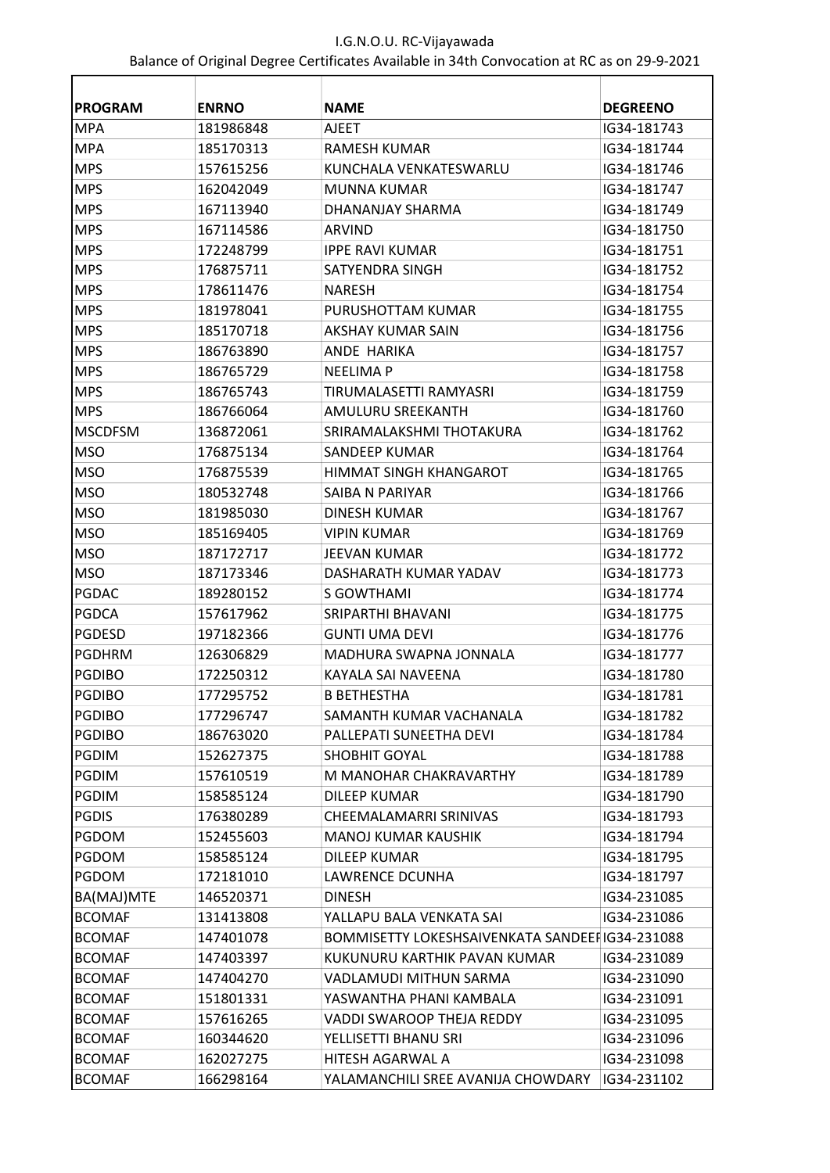| <b>PROGRAM</b> | <b>ENRNO</b> | <b>NAME</b>                                    | <b>DEGREENO</b> |
|----------------|--------------|------------------------------------------------|-----------------|
| <b>MPA</b>     | 181986848    | <b>AJEET</b>                                   | IG34-181743     |
| <b>MPA</b>     | 185170313    | <b>RAMESH KUMAR</b>                            | IG34-181744     |
| <b>MPS</b>     | 157615256    | KUNCHALA VENKATESWARLU                         | IG34-181746     |
| <b>MPS</b>     | 162042049    | MUNNA KUMAR                                    | IG34-181747     |
| <b>MPS</b>     | 167113940    | DHANANJAY SHARMA                               | IG34-181749     |
| <b>MPS</b>     | 167114586    | ARVIND                                         | IG34-181750     |
| <b>MPS</b>     | 172248799    | <b>IPPE RAVI KUMAR</b>                         | IG34-181751     |
| <b>MPS</b>     | 176875711    | SATYENDRA SINGH                                | IG34-181752     |
| <b>MPS</b>     | 178611476    | <b>NARESH</b>                                  | IG34-181754     |
| <b>MPS</b>     | 181978041    | PURUSHOTTAM KUMAR                              | IG34-181755     |
| <b>MPS</b>     | 185170718    | AKSHAY KUMAR SAIN                              | IG34-181756     |
| <b>MPS</b>     | 186763890    | ANDE HARIKA                                    | IG34-181757     |
| <b>MPS</b>     | 186765729    | <b>NEELIMA P</b>                               | IG34-181758     |
| <b>MPS</b>     | 186765743    | TIRUMALASETTI RAMYASRI                         | IG34-181759     |
| <b>MPS</b>     | 186766064    | <b>AMULURU SREEKANTH</b>                       | IG34-181760     |
| <b>MSCDFSM</b> | 136872061    | SRIRAMALAKSHMI THOTAKURA                       | IG34-181762     |
| <b>MSO</b>     | 176875134    | SANDEEP KUMAR                                  | IG34-181764     |
| <b>MSO</b>     | 176875539    | HIMMAT SINGH KHANGAROT                         | IG34-181765     |
| <b>MSO</b>     | 180532748    | SAIBA N PARIYAR                                | IG34-181766     |
| <b>MSO</b>     | 181985030    | <b>DINESH KUMAR</b>                            | IG34-181767     |
| <b>MSO</b>     | 185169405    | <b>VIPIN KUMAR</b>                             | IG34-181769     |
| <b>MSO</b>     | 187172717    | <b>JEEVAN KUMAR</b>                            | IG34-181772     |
| <b>MSO</b>     | 187173346    | DASHARATH KUMAR YADAV                          | IG34-181773     |
| <b>PGDAC</b>   | 189280152    | S GOWTHAMI                                     | IG34-181774     |
| <b>PGDCA</b>   | 157617962    | SRIPARTHI BHAVANI                              | IG34-181775     |
| <b>PGDESD</b>  | 197182366    | <b>GUNTI UMA DEVI</b>                          | IG34-181776     |
| <b>PGDHRM</b>  | 126306829    | MADHURA SWAPNA JONNALA                         | IG34-181777     |
| <b>PGDIBO</b>  | 172250312    | KAYALA SAI NAVEENA                             | IG34-181780     |
| <b>PGDIBO</b>  | 177295752    | <b>B BETHESTHA</b>                             | IG34-181781     |
| PGDIBO         | 177296747    | SAMANTH KUMAR VACHANALA                        | IG34-181782     |
| <b>PGDIBO</b>  | 186763020    | PALLEPATI SUNEETHA DEVI                        | IG34-181784     |
| <b>PGDIM</b>   | 152627375    | SHOBHIT GOYAL                                  | IG34-181788     |
| <b>PGDIM</b>   | 157610519    | M MANOHAR CHAKRAVARTHY                         | IG34-181789     |
| <b>PGDIM</b>   | 158585124    | <b>DILEEP KUMAR</b>                            | IG34-181790     |
| <b>PGDIS</b>   | 176380289    | CHEEMALAMARRI SRINIVAS                         | IG34-181793     |
| PGDOM          | 152455603    | <b>MANOJ KUMAR KAUSHIK</b>                     | IG34-181794     |
| PGDOM          | 158585124    | <b>DILEEP KUMAR</b>                            | IG34-181795     |
| PGDOM          | 172181010    | <b>LAWRENCE DCUNHA</b>                         | IG34-181797     |
| BA(MAJ)MTE     | 146520371    | <b>DINESH</b>                                  | IG34-231085     |
| <b>BCOMAF</b>  | 131413808    | YALLAPU BALA VENKATA SAI                       | IG34-231086     |
| <b>BCOMAF</b>  | 147401078    | BOMMISETTY LOKESHSAIVENKATA SANDEEFIG34-231088 |                 |
| BCOMAF         | 147403397    | KUKUNURU KARTHIK PAVAN KUMAR                   | IG34-231089     |
| <b>BCOMAF</b>  | 147404270    | VADLAMUDI MITHUN SARMA                         | IG34-231090     |
| <b>BCOMAF</b>  | 151801331    | YASWANTHA PHANI KAMBALA                        | IG34-231091     |
| <b>BCOMAF</b>  | 157616265    | VADDI SWAROOP THEJA REDDY                      | IG34-231095     |
| <b>BCOMAF</b>  | 160344620    | YELLISETTI BHANU SRI                           | IG34-231096     |
| <b>BCOMAF</b>  | 162027275    | HITESH AGARWAL A                               | IG34-231098     |
| <b>BCOMAF</b>  | 166298164    | YALAMANCHILI SREE AVANIJA CHOWDARY             | IG34-231102     |